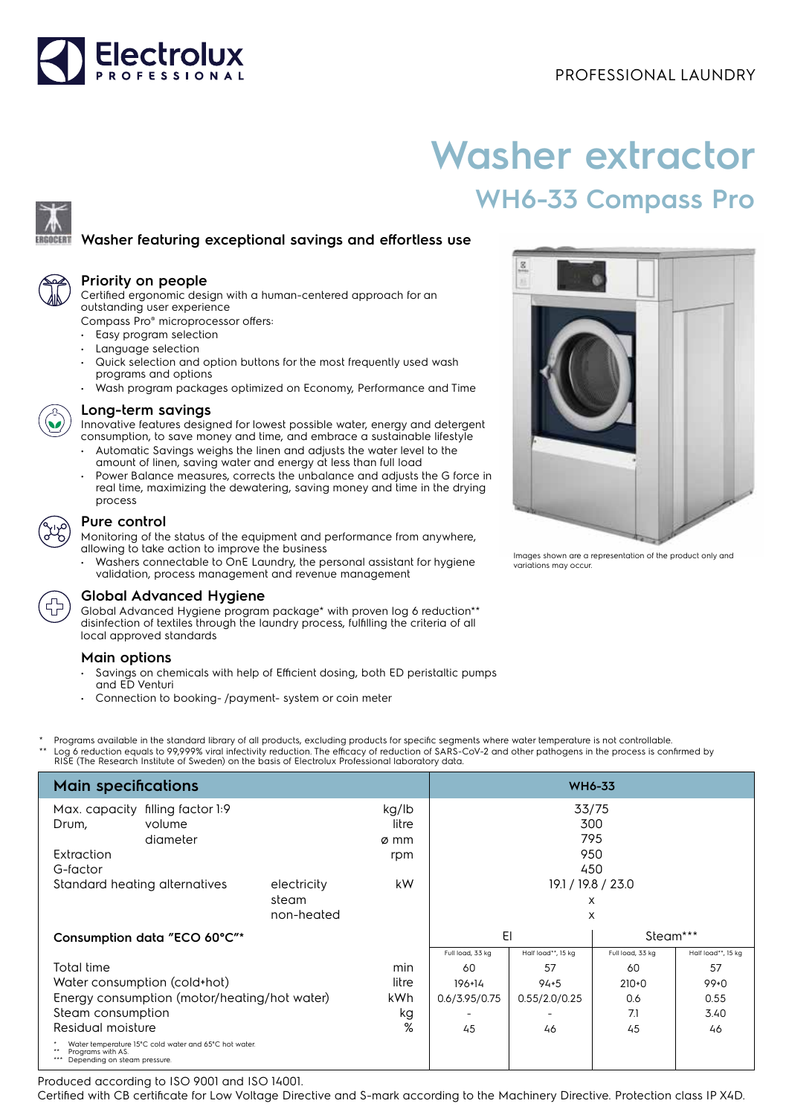

# **Washer extractor WH6-33 Compass Pro**

## **Washer featuring exceptional savings and effortless use**

#### **Priority on people**

Certified ergonomic design with a human-centered approach for an outstanding user experience

Compass Pro® microprocessor offers:

- Easy program selection
- Language selection
- Quick selection and option buttons for the most frequently used wash programs and options
- Wash program packages optimized on Economy, Performance and Time



#### **Long-term savings**

Innovative features designed for lowest possible water, energy and detergent consumption, to save money and time, and embrace a sustainable lifestyle

- Automatic Savings weighs the linen and adjusts the water level to the amount of linen, saving water and energy at less than full load
- Power Balance measures, corrects the unbalance and adjusts the G force in real time, maximizing the dewatering, saving money and time in the drying process



#### **Pure control**

Monitoring of the status of the equipment and performance from anywhere, allowing to take action to improve the business

• Washers connectable to OnE Laundry, the personal assistant for hygiene validation, process management and revenue management



### **Global Advanced Hygiene**

Global Advanced Hygiene program package\* with proven log 6 reduction\*\* disinfection of textiles through the laundry process, fulfilling the criteria of all local approved standards

#### **Main options**

- Savings on chemicals with help of Efficient dosing, both ED peristaltic pumps and ED Venturi
- Connection to booking- /payment- system or coin meter
- Programs available in the standard library of all products, excluding products for specific segments where water temperature is not controllable. Log 6 reduction equals to 99,999% viral infectivity reduction. The efficacy of reduction of SARS-CoV-2 and other pathogens in the process is confirmed by RISE (The Research Institute of Sweden) on the basis of Electrolux Professional laboratory data.

| <b>Main specifications</b>                                                                                 |                               |             |                | <b>WH6-33</b>    |                           |                  |                    |
|------------------------------------------------------------------------------------------------------------|-------------------------------|-------------|----------------|------------------|---------------------------|------------------|--------------------|
| filling factor 1:9<br>Max. capacity<br>volume<br>Drum,                                                     |                               |             | kg/lb<br>litre | 33/75<br>300     |                           |                  |                    |
|                                                                                                            | diameter                      |             | ø mm           |                  | 795                       |                  |                    |
| Extraction                                                                                                 |                               |             | rpm            |                  | 950                       |                  |                    |
| G-factor                                                                                                   | Standard heating alternatives | electricity | kW             |                  | 450<br>19.1 / 19.8 / 23.0 |                  |                    |
|                                                                                                            |                               | steam       |                |                  |                           | X                |                    |
|                                                                                                            |                               | non-heated  |                |                  |                           | X                |                    |
| Consumption data "ECO 60°C"*                                                                               |                               |             | EI<br>Steam*** |                  |                           |                  |                    |
|                                                                                                            |                               |             |                | Full load, 33 kg | Half load**, 15 kg        | Full load, 33 kg | Half load**, 15 kg |
| Total time                                                                                                 |                               |             | min            | 60               | 57                        | 60               | 57                 |
| Water consumption (cold+hot)                                                                               |                               |             | litre          | $196 + 14$       | $94 + 5$                  | $210+0$          | $99+0$             |
| Energy consumption (motor/heating/hot water)                                                               |                               |             | kWh            | 0.6/3.95/0.75    | 0.55/2.0/0.25             | 0.6              | 0.55               |
| Steam consumption                                                                                          |                               |             | kg             |                  |                           | 7.1              | 3.40               |
| Residual moisture                                                                                          |                               |             | %              | 45               | 46                        | 45               | 46                 |
| Water temperature 15°C cold water and 65°C hot water.<br>Programs with AS.<br>Depending on steam pressure. |                               |             |                |                  |                           |                  |                    |

Produced according to ISO 9001 and ISO 14001.

Certified with CB certificate for Low Voltage Directive and S-mark according to the Machinery Directive. Protection class IP X4D.



Images shown are a representation of the product only and variations may occur.